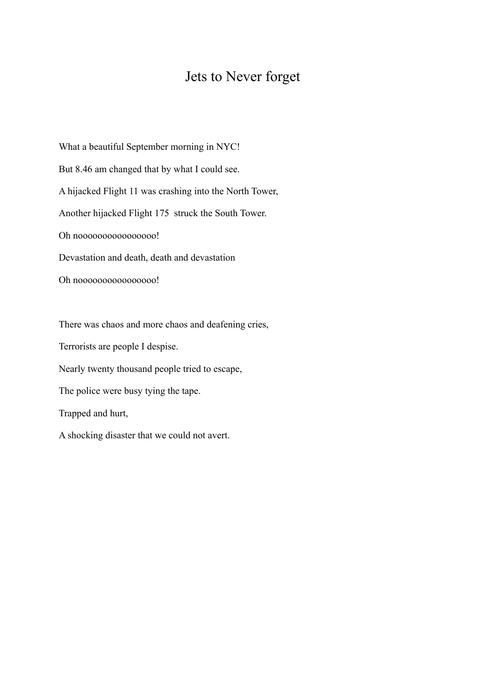## Jets to Never forget

What a beautiful September morning in NYC! But 8.46 am changed that by what I could see. A hijacked Flight 11 was crashing into the North Tower, Another hijacked Flight 175 struck the South Tower. Oh noooooooooooooooo! Devastation and death, death and devastation Oh noooooooooooooo!

There was chaos and more chaos and deafening cries,

Terrorists are people I despise.

Nearly twenty thousand people tried to escape,

The police were busy tying the tape.

Trapped and hurt,

A shocking disaster that we could not avert.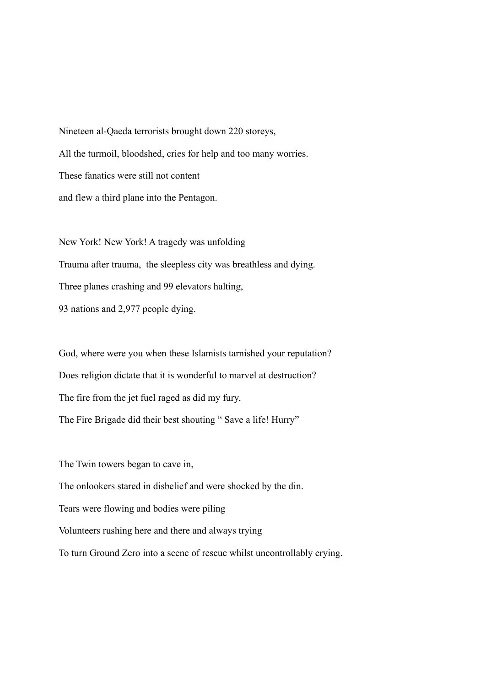Nineteen al-Qaeda terrorists brought down 220 storeys, All the turmoil, bloodshed, cries for help and too many worries. These fanatics were still not content and flew a third plane into the Pentagon.

New York! New York! A tragedy was unfolding Trauma after trauma, the sleepless city was breathless and dying. Three planes crashing and 99 elevators halting, 93 nations and 2,977 people dying.

God, where were you when these Islamists tarnished your reputation? Does religion dictate that it is wonderful to marvel at destruction? The fire from the jet fuel raged as did my fury, The Fire Brigade did their best shouting " Save a life! Hurry"

The Twin towers began to cave in, The onlookers stared in disbelief and were shocked by the din. Tears were flowing and bodies were piling Volunteers rushing here and there and always trying To turn Ground Zero into a scene of rescue whilst uncontrollably crying.